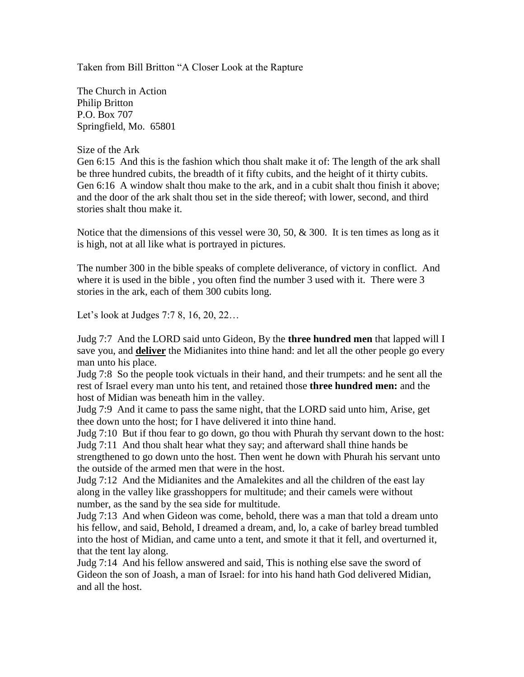Taken from Bill Britton "A Closer Look at the Rapture

The Church in Action Philip Britton P.O. Box 707 Springfield, Mo. 65801

## Size of the Ark

Gen 6:15 And this is the fashion which thou shalt make it of: The length of the ark shall be three hundred cubits, the breadth of it fifty cubits, and the height of it thirty cubits. Gen 6:16 A window shalt thou make to the ark, and in a cubit shalt thou finish it above; and the door of the ark shalt thou set in the side thereof; with lower, second, and third stories shalt thou make it.

Notice that the dimensions of this vessel were 30, 50,  $\&$  300. It is ten times as long as it is high, not at all like what is portrayed in pictures.

The number 300 in the bible speaks of complete deliverance, of victory in conflict. And where it is used in the bible , you often find the number 3 used with it. There were 3 stories in the ark, each of them 300 cubits long.

Let's look at Judges 7:7 8, 16, 20, 22…

Judg 7:7 And the LORD said unto Gideon, By the **three hundred men** that lapped will I save you, and **deliver** the Midianites into thine hand: and let all the other people go every man unto his place.

Judg 7:8 So the people took victuals in their hand, and their trumpets: and he sent all the rest of Israel every man unto his tent, and retained those **three hundred men:** and the host of Midian was beneath him in the valley.

Judg 7:9 And it came to pass the same night, that the LORD said unto him, Arise, get thee down unto the host; for I have delivered it into thine hand.

Judg 7:10 But if thou fear to go down, go thou with Phurah thy servant down to the host: Judg 7:11 And thou shalt hear what they say; and afterward shall thine hands be strengthened to go down unto the host. Then went he down with Phurah his servant unto the outside of the armed men that were in the host.

Judg 7:12 And the Midianites and the Amalekites and all the children of the east lay along in the valley like grasshoppers for multitude; and their camels were without number, as the sand by the sea side for multitude.

Judg 7:13 And when Gideon was come, behold, there was a man that told a dream unto his fellow, and said, Behold, I dreamed a dream, and, lo, a cake of barley bread tumbled into the host of Midian, and came unto a tent, and smote it that it fell, and overturned it, that the tent lay along.

Judg 7:14 And his fellow answered and said, This is nothing else save the sword of Gideon the son of Joash, a man of Israel: for into his hand hath God delivered Midian, and all the host.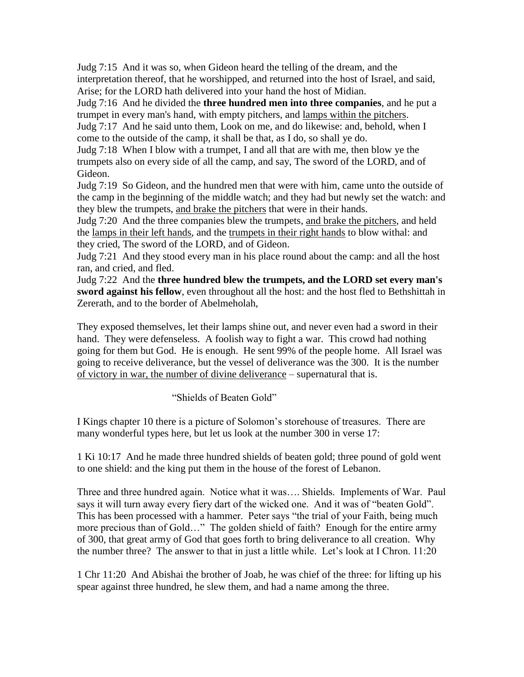Judg 7:15 And it was so, when Gideon heard the telling of the dream, and the interpretation thereof, that he worshipped, and returned into the host of Israel, and said, Arise; for the LORD hath delivered into your hand the host of Midian.

Judg 7:16 And he divided the **three hundred men into three companies**, and he put a trumpet in every man's hand, with empty pitchers, and lamps within the pitchers.

Judg 7:17 And he said unto them, Look on me, and do likewise: and, behold, when I come to the outside of the camp, it shall be that, as I do, so shall ye do.

Judg 7:18 When I blow with a trumpet, I and all that are with me, then blow ye the trumpets also on every side of all the camp, and say, The sword of the LORD, and of Gideon.

Judg 7:19 So Gideon, and the hundred men that were with him, came unto the outside of the camp in the beginning of the middle watch; and they had but newly set the watch: and they blew the trumpets, and brake the pitchers that were in their hands.

Judg 7:20 And the three companies blew the trumpets, and brake the pitchers, and held the lamps in their left hands, and the trumpets in their right hands to blow withal: and they cried, The sword of the LORD, and of Gideon.

Judg 7:21 And they stood every man in his place round about the camp: and all the host ran, and cried, and fled.

Judg 7:22 And the **three hundred blew the trumpets, and the LORD set every man's sword against his fellow**, even throughout all the host: and the host fled to Bethshittah in Zererath, and to the border of Abelmeholah,

They exposed themselves, let their lamps shine out, and never even had a sword in their hand. They were defenseless. A foolish way to fight a war. This crowd had nothing going for them but God. He is enough. He sent 99% of the people home. All Israel was going to receive deliverance, but the vessel of deliverance was the 300. It is the number of victory in war, the number of divine deliverance – supernatural that is.

"Shields of Beaten Gold"

I Kings chapter 10 there is a picture of Solomon's storehouse of treasures. There are many wonderful types here, but let us look at the number 300 in verse 17:

1 Ki 10:17 And he made three hundred shields of beaten gold; three pound of gold went to one shield: and the king put them in the house of the forest of Lebanon.

Three and three hundred again. Notice what it was…. Shields. Implements of War. Paul says it will turn away every fiery dart of the wicked one. And it was of "beaten Gold". This has been processed with a hammer. Peter says "the trial of your Faith, being much more precious than of Gold…" The golden shield of faith? Enough for the entire army of 300, that great army of God that goes forth to bring deliverance to all creation. Why the number three? The answer to that in just a little while. Let's look at I Chron. 11:20

1 Chr 11:20 And Abishai the brother of Joab, he was chief of the three: for lifting up his spear against three hundred, he slew them, and had a name among the three.